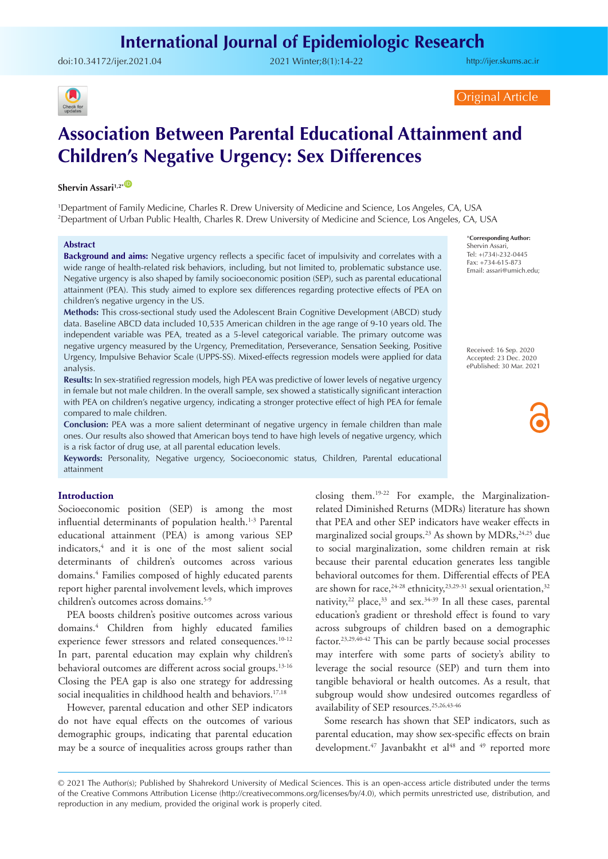doi:[10.34172/ijer.2021.04](https://doi.org/10.34172/ijer.2021.04) 2021 Winter;8(1):14-22

<http://ijer.skums.ac.ir>



Original Article

# **Association Between Parental Educational Attainment and Children's Negative Urgency: Sex Differences**

**Shervin Assari**<sup>1,2\*</sub></sup>

1 Department of Family Medicine, Charles R. Drew University of Medicine and Science, Los Angeles, CA, USA 2 Department of Urban Public Health, Charles R. Drew University of Medicine and Science, Los Angeles, CA, USA

#### **Abstract**

**Background and aims:** Negative urgency reflects a specific facet of impulsivity and correlates with a wide range of health-related risk behaviors, including, but not limited to, problematic substance use. Negative urgency is also shaped by family socioeconomic position (SEP), such as parental educational attainment (PEA). This study aimed to explore sex differences regarding protective effects of PEA on children's negative urgency in the US.

**Methods:** This cross-sectional study used the Adolescent Brain Cognitive Development (ABCD) study data. Baseline ABCD data included 10,535 American children in the age range of 9-10 years old. The independent variable was PEA, treated as a 5-level categorical variable. The primary outcome was negative urgency measured by the Urgency, Premeditation, Perseverance, Sensation Seeking, Positive Urgency, Impulsive Behavior Scale (UPPS-SS). Mixed-effects regression models were applied for data analysis.

**Results:** In sex-stratified regression models, high PEA was predictive of lower levels of negative urgency in female but not male children. In the overall sample, sex showed a statistically significant interaction with PEA on children's negative urgency, indicating a stronger protective effect of high PEA for female compared to male children.

**Conclusion:** PEA was a more salient determinant of negative urgency in female children than male ones. Our results also showed that American boys tend to have high levels of negative urgency, which is a risk factor of drug use, at all parental education levels.

**Keywords:** Personality, Negative urgency, Socioeconomic status, Children, Parental educational attainment

# **Introduction**

Socioeconomic position (SEP) is among the most influential determinants of population health.<sup>1-3</sup> Parental educational attainment (PEA) is among various SEP indicators,4 and it is one of the most salient social determinants of children's outcomes across various domains.4 Families composed of highly educated parents report higher parental involvement levels, which improves children's outcomes across domains.<sup>5-9</sup>

PEA boosts children's positive outcomes across various domains.4 Children from highly educated families experience fewer stressors and related consequences.<sup>10-12</sup> In part, parental education may explain why children's behavioral outcomes are different across social groups.<sup>13-16</sup> Closing the PEA gap is also one strategy for addressing social inequalities in childhood health and behaviors.<sup>17,18</sup>

However, parental education and other SEP indicators do not have equal effects on the outcomes of various demographic groups, indicating that parental education may be a source of inequalities across groups rather than closing them.19-22 For example, the Marginalizationrelated Diminished Returns (MDRs) literature has shown that PEA and other SEP indicators have weaker effects in marginalized social groups.<sup>23</sup> As shown by  $MDRs$ ,<sup>24,25</sup> due to social marginalization, some children remain at risk because their parental education generates less tangible behavioral outcomes for them. Differential effects of PEA are shown for race,<sup>24-28</sup> ethnicity,<sup>23,29-31</sup> sexual orientation,<sup>32</sup> nativity,<sup>22</sup> place,<sup>33</sup> and sex.<sup>34-39</sup> In all these cases, parental education's gradient or threshold effect is found to vary across subgroups of children based on a demographic factor.<sup>23,29,40-42</sup> This can be partly because social processes may interfere with some parts of society's ability to leverage the social resource (SEP) and turn them into tangible behavioral or health outcomes. As a result, that subgroup would show undesired outcomes regardless of availability of SEP resources.25,26,43-46

Some research has shown that SEP indicators, such as parental education, may show sex-specific effects on brain development.<sup>47</sup> Javanbakht et al<sup>48</sup> and <sup>49</sup> reported more

\***Corresponding Author:** Shervin Assari, Tel: +(734)-232-0445 Fax: +734-615-873 Email: assari@umich.edu;

Received: 16 Sep. 2020 Accepted: 23 Dec. 2020 ePublished: 30 Mar. 2021

<sup>© 2021</sup> The Author(s); Published by Shahrekord University of Medical Sciences. This is an open-access article distributed under the terms of the Creative Commons Attribution License (http://creativecommons.org/licenses/by/4.0), which permits unrestricted use, distribution, and reproduction in any medium, provided the original work is properly cited.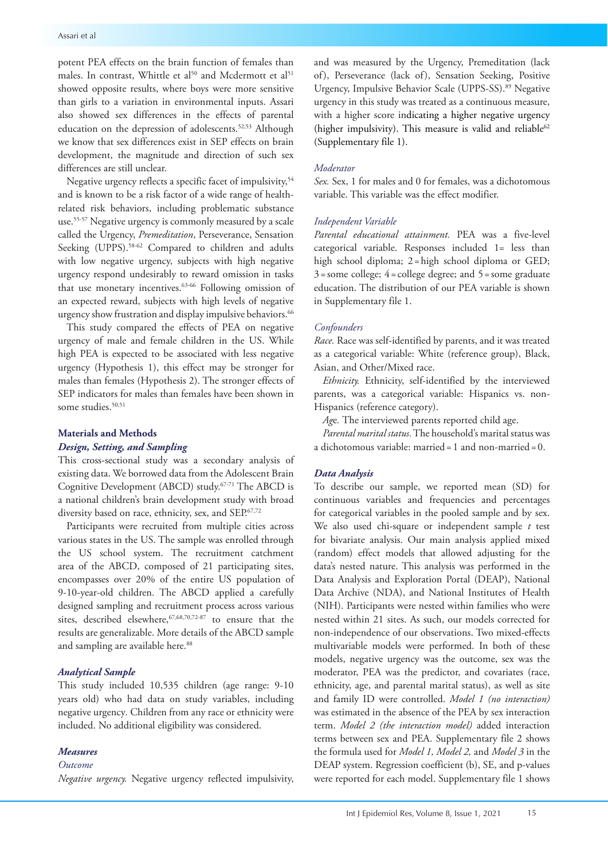potent PEA effects on the brain function of females than males. In contrast, Whittle et al<sup>50</sup> and Mcdermott et al<sup>51</sup> showed opposite results, where boys were more sensitive than girls to a variation in environmental inputs. Assari also showed sex differences in the effects of parental education on the depression of adolescents.<sup>52,53</sup> Although we know that sex differences exist in SEP effects on brain development, the magnitude and direction of such sex differences are still unclear.

Negative urgency reflects a specific facet of impulsivity,<sup>54</sup> and is known to be a risk factor of a wide range of healthrelated risk behaviors, including problematic substance use.55-57 Negative urgency is commonly measured by a scale called the Urgency, *Premeditation*, Perseverance, Sensation Seeking (UPPS).<sup>58-62</sup> Compared to children and adults with low negative urgency, subjects with high negative urgency respond undesirably to reward omission in tasks that use monetary incentives.<sup>63-66</sup> Following omission of an expected reward, subjects with high levels of negative urgency show frustration and display impulsive behaviors.<sup>66</sup>

This study compared the effects of PEA on negative urgency of male and female children in the US. While high PEA is expected to be associated with less negative urgency (Hypothesis 1), this effect may be stronger for males than females (Hypothesis 2). The stronger effects of SEP indicators for males than females have been shown in some studies.<sup>50,51</sup>

## **Materials and Methods** *Design, Setting, and Sampling*

This cross-sectional study was a secondary analysis of existing data. We borrowed data from the Adolescent Brain Cognitive Development (ABCD) study.67-71 The ABCD is a national children's brain development study with broad diversity based on race, ethnicity, sex, and SEP.<sup>67,72</sup>

Participants were recruited from multiple cities across various states in the US. The sample was enrolled through the US school system. The recruitment catchment area of the ABCD, composed of 21 participating sites, encompasses over 20% of the entire US population of 9-10-year-old children. The ABCD applied a carefully designed sampling and recruitment process across various sites, described elsewhere, <sup>67,68,70,72-87</sup> to ensure that the results are generalizable. More details of the ABCD sample and sampling are available here.<sup>88</sup>

#### *Analytical Sample*

This study included 10,535 children (age range: 9-10 years old) who had data on study variables, including negative urgency*.* Children from any race or ethnicity were included. No additional eligibility was considered.

# *Measures*

# *Outcome*

*Negative urgency.* Negative urgency reflected impulsivity,

and was measured by the Urgency, Premeditation (lack of), Perseverance (lack of), Sensation Seeking, Positive Urgency, Impulsive Behavior Scale (UPPS-SS).<sup>89</sup> Negative urgency in this study was treated as a continuous measure, with a higher score indicating a higher negative urgency (higher impulsivity). This measure is valid and reliable<sup>62</sup> (Supplementary file 1).

#### *Moderator*

*Sex.* Sex, 1 for males and 0 for females, was a dichotomous variable. This variable was the effect modifier.

# *Independent Variable*

*Parental educational attainment.* PEA was a five-level categorical variable. Responses included 1= less than high school diploma; 2=high school diploma or GED;  $3 =$ some college;  $4 =$ college degree; and  $5 =$ some graduate education. The distribution of our PEA variable is shown in Supplementary file 1.

#### *Confounders*

*Race.* Race was self-identified by parents, and it was treated as a categorical variable: White (reference group), Black, Asian, and Other/Mixed race.

*Ethnicity.* Ethnicity, self-identified by the interviewed parents, was a categorical variable: Hispanics vs. non-Hispanics (reference category).

*Ag*e*.* The interviewed parents reported child age.

*Parental marital status.* The household's marital status was a dichotomous variable: married=1 and non-married=0.

#### *Data Analysis*

To describe our sample, we reported mean (SD) for continuous variables and frequencies and percentages for categorical variables in the pooled sample and by sex. We also used chi-square or independent sample *t* test for bivariate analysis. Our main analysis applied mixed (random) effect models that allowed adjusting for the data's nested nature. This analysis was performed in the Data Analysis and Exploration Portal (DEAP), National Data Archive (NDA), and National Institutes of Health (NIH). Participants were nested within families who were nested within 21 sites. As such, our models corrected for non-independence of our observations. Two mixed-effects multivariable models were performed. In both of these models, negative urgency was the outcome, sex was the moderator, PEA was the predictor, and covariates (race, ethnicity, age, and parental marital status), as well as site and family ID were controlled. *Model 1 (no interaction)* was estimated in the absence of the PEA by sex interaction term. *Model 2 (the interaction model)* added interaction terms between sex and PEA. Supplementary file 2 shows the formula used for *Model 1, Model 2,* and *Model 3* in the DEAP system. Regression coefficient (b), SE, and p-values were reported for each model. Supplementary file 1 shows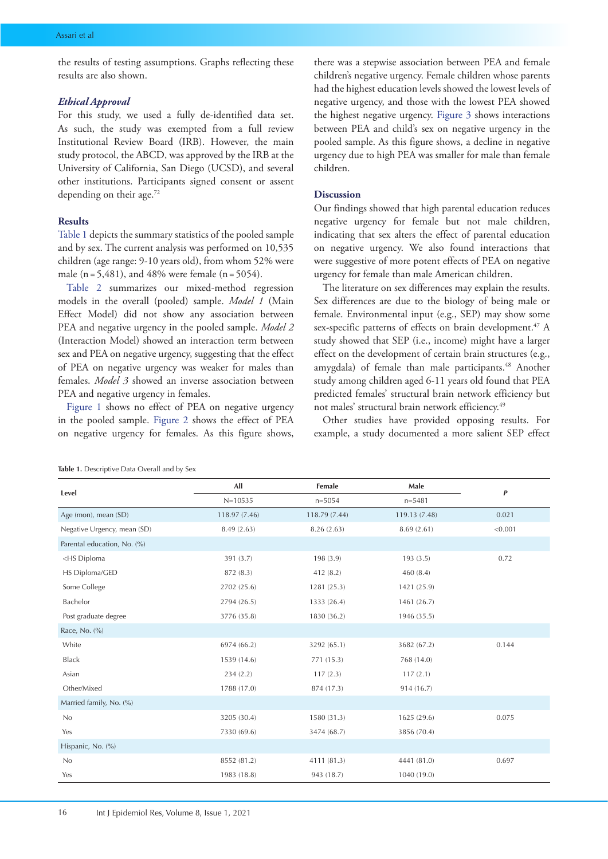the results of testing assumptions. Graphs reflecting these results are also shown.

#### *Ethical Approval*

For this study, we used a fully de-identified data set. As such, the study was exempted from a full review Institutional Review Board (IRB). However, the main study protocol, the ABCD, was approved by the IRB at the University of California, San Diego (UCSD), and several other institutions. Participants signed consent or assent depending on their age.<sup>72</sup>

# **Results**

[Table 1](#page-2-0) depicts the summary statistics of the pooled sample and by sex. The current analysis was performed on 10,535 children (age range: 9-10 years old), from whom 52% were male ( $n = 5,481$ ), and 48% were female ( $n = 5054$ ).

[Table 2](#page-3-0) summarizes our mixed-method regression models in the overall (pooled) sample. *Model 1* (Main Effect Model) did not show any association between PEA and negative urgency in the pooled sample. *Model 2* (Interaction Model) showed an interaction term between sex and PEA on negative urgency, suggesting that the effect of PEA on negative urgency was weaker for males than females. *Model 3* showed an inverse association between PEA and negative urgency in females.

[Figure 1](#page-3-1) shows no effect of PEA on negative urgency in the pooled sample. [Figure 2](#page-3-2) shows the effect of PEA on negative urgency for females. As this figure shows,

there was a stepwise association between PEA and female children's negative urgency. Female children whose parents had the highest education levels showed the lowest levels of negative urgency, and those with the lowest PEA showed the highest negative urgency. [Figure 3](#page-4-0) shows interactions between PEA and child's sex on negative urgency in the pooled sample. As this figure shows, a decline in negative urgency due to high PEA was smaller for male than female children.

## **Discussion**

Our findings showed that high parental education reduces negative urgency for female but not male children, indicating that sex alters the effect of parental education on negative urgency. We also found interactions that were suggestive of more potent effects of PEA on negative urgency for female than male American children.

The literature on sex differences may explain the results. Sex differences are due to the biology of being male or female. Environmental input (e.g., SEP) may show some sex-specific patterns of effects on brain development.<sup>47</sup> A study showed that SEP (i.e., income) might have a larger effect on the development of certain brain structures (e.g., amygdala) of female than male participants.<sup>48</sup> Another study among children aged 6-11 years old found that PEA predicted females' structural brain network efficiency but not males' structural brain network efficiency.<sup>49</sup>

Other studies have provided opposing results. For example, a [study documented a](https://www.biorxiv.org/content/10.1101/2020.01.24.918847v2.full#ref-38) more salient SEP effect

<span id="page-2-0"></span>

|  |  | Table 1. Descriptive Data Overall and by Sex |  |
|--|--|----------------------------------------------|--|
|--|--|----------------------------------------------|--|

| Level                                                                                         | All           | Female        | Male          | $\boldsymbol{P}$ |  |
|-----------------------------------------------------------------------------------------------|---------------|---------------|---------------|------------------|--|
|                                                                                               | $N = 10535$   | $n = 5054$    | $n = 5481$    |                  |  |
| Age (mon), mean (SD)                                                                          | 118.97 (7.46) | 118.79 (7.44) | 119.13 (7.48) | 0.021            |  |
| Negative Urgency, mean (SD)                                                                   | 8.49(2.63)    | 8.26 (2.63)   | 8.69(2.61)    | < 0.001          |  |
| Parental education, No. (%)                                                                   |               |               |               |                  |  |
| <hs diploma<="" td=""><td>391 (3.7)</td><td>198 (3.9)</td><td>193(3.5)</td><td>0.72</td></hs> | 391 (3.7)     | 198 (3.9)     | 193(3.5)      | 0.72             |  |
| HS Diploma/GED                                                                                | 872 (8.3)     | 412 (8.2)     | 460(8.4)      |                  |  |
| Some College                                                                                  | 2702 (25.6)   | 1281 (25.3)   | 1421 (25.9)   |                  |  |
| Bachelor                                                                                      | 2794 (26.5)   | 1333 (26.4)   | 1461 (26.7)   |                  |  |
| Post graduate degree                                                                          | 3776 (35.8)   | 1830 (36.2)   | 1946 (35.5)   |                  |  |
| Race, No. (%)                                                                                 |               |               |               |                  |  |
| White                                                                                         | 6974 (66.2)   | 3292 (65.1)   | 3682 (67.2)   | 0.144            |  |
| <b>Black</b>                                                                                  | 1539 (14.6)   | 771 (15.3)    | 768 (14.0)    |                  |  |
| Asian                                                                                         | 234(2.2)      | 117(2.3)      | 117(2.1)      |                  |  |
| Other/Mixed                                                                                   | 1788 (17.0)   | 874 (17.3)    | 914 (16.7)    |                  |  |
| Married family, No. (%)                                                                       |               |               |               |                  |  |
| No                                                                                            | 3205 (30.4)   | 1580 (31.3)   | 1625 (29.6)   | 0.075            |  |
| Yes                                                                                           | 7330 (69.6)   | 3474 (68.7)   | 3856 (70.4)   |                  |  |
| Hispanic, No. (%)                                                                             |               |               |               |                  |  |
| No                                                                                            | 8552 (81.2)   | 4111 (81.3)   | 4441 (81.0)   | 0.697            |  |
| Yes                                                                                           | 1983 (18.8)   | 943 (18.7)    | 1040 (19.0)   |                  |  |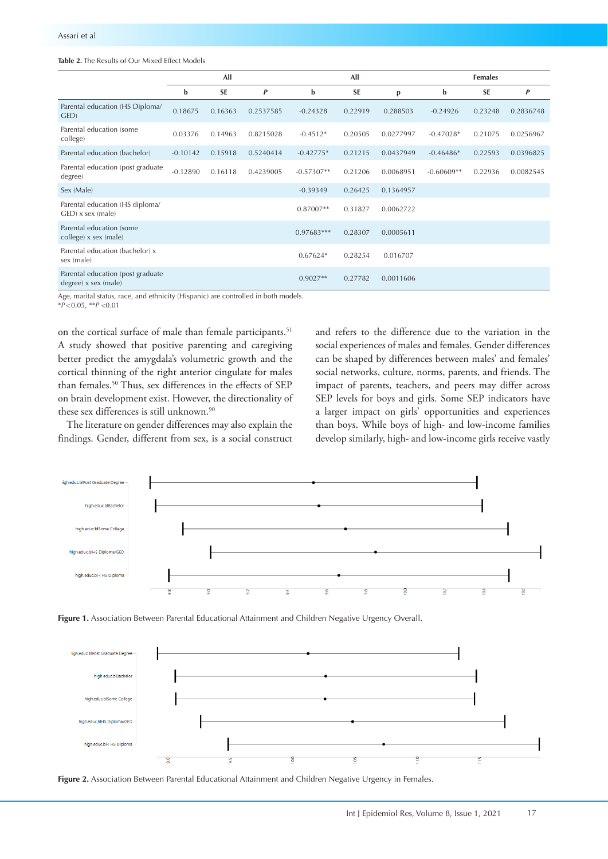## <span id="page-3-0"></span>**Table 2.** The Results of Our Mixed Effect Models

|                                                             | All        |           |           | All          |           |           | <b>Females</b> |           |           |
|-------------------------------------------------------------|------------|-----------|-----------|--------------|-----------|-----------|----------------|-----------|-----------|
|                                                             | b          | <b>SE</b> | P         | b            | <b>SE</b> | p         | $\mathbf b$    | <b>SE</b> | P         |
| Parental education (HS Diploma/<br>GED)                     | 0.18675    | 0.16363   | 0.2537585 | $-0.24328$   | 0.22919   | 0.288503  | $-0.24926$     | 0.23248   | 0.2836748 |
| Parental education (some<br>college)                        | 0.03376    | 0.14963   | 0.8215028 | $-0.4512*$   | 0.20505   | 0.0277997 | $-0.47028*$    | 0.21075   | 0.0256967 |
| Parental education (bachelor)                               | $-0.10142$ | 0.15918   | 0.5240414 | $-0.42775*$  | 0.21215   | 0.0437949 | $-0.46486*$    | 0.22593   | 0.0396825 |
| Parental education (post graduate<br>degree)                | $-0.12890$ | 0.16118   | 0.4239005 | $-0.57307**$ | 0.21206   | 0.0068951 | $-0.60609**$   | 0.22936   | 0.0082545 |
| Sex (Male)                                                  |            |           |           | $-0.39349$   | 0.26425   | 0.1364957 |                |           |           |
| Parental education (HS diploma/<br>$GED$ ) x sex (male)     |            |           |           | $0.87007**$  | 0.31827   | 0.0062722 |                |           |           |
| Parental education (some<br>college) x sex (male)           |            |           |           | $0.97683***$ | 0.28307   | 0.0005611 |                |           |           |
| Parental education (bachelor) x<br>sex (male)               |            |           |           | $0.67624*$   | 0.28254   | 0.016707  |                |           |           |
| Parental education (post graduate<br>$degree)$ x sex (male) |            |           |           | $0.9027**$   | 0.27782   | 0.0011606 |                |           |           |

Age, marital status, race, and ethnicity (Hispanic) are controlled in both models.

\**P*<0.05, \*\**P* <0.01

on the cortical surface of male than female participants.<sup>51</sup> A study showed that positive parenting and caregiving better predict the amygdala's volumetric growth and the cortical thinning of the right anterior cingulate for males than females.50 Thus, sex differences in the effects of SEP on brain development exist. However, the directionality of these sex differences is still unknown.<sup>90</sup>

The literature on gender differences may also explain the findings. Gender, different from sex, is a social construct

and refers to the difference due to the variation in the social experiences of males and females. Gender differences can be shaped by differences between males' and females' social networks, culture, norms, parents, and friends. The impact of parents, teachers, and peers may differ across SEP levels for boys and girls. Some SEP indicators have a larger impact on girls' opportunities and experiences than boys. While boys of high- and low-income families develop similarly, high- and low-income girls receive vastly

<span id="page-3-1"></span>

**Figure 1.** Association Between Parental Educational Attainment and Children Negative Urgency Overall.

<span id="page-3-2"></span>

**Figure 2.** Association Between Parental Educational Attainment and Children Negative Urgency in Females.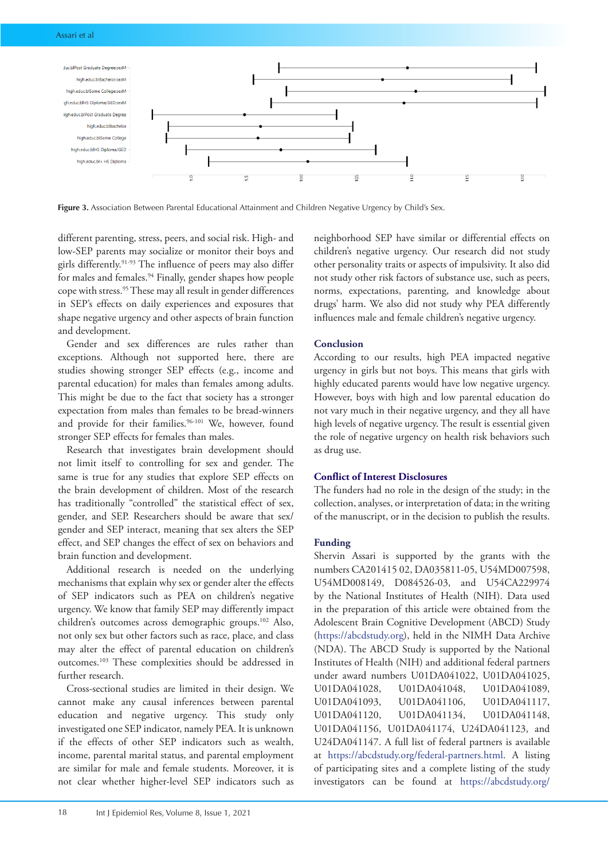<span id="page-4-0"></span>

**Figure 3.** Association Between Parental Educational Attainment and Children Negative Urgency by Child's Sex.

different parenting, stress, peers, and social risk. High- and low-SEP parents may socialize or monitor their boys and girls differently.91-93 The influence of peers may also differ for males and females.<sup>94</sup> Finally, gender shapes how people cope with stress.95 These may all result in gender differences in SEP's effects on daily experiences and exposures that shape negative urgency and other aspects of brain function and development.

Gender and sex differences are rules rather than exceptions. Although not supported here, there are studies showing stronger SEP effects (e.g., income and parental education) for males than females among adults. This might be due to the fact that society has a stronger expectation from males than females to be bread-winners and provide for their families.<sup>96-101</sup> We, however, found stronger SEP effects for females than males.

Research that investigates brain development should not limit itself to controlling for sex and gender. The same is true for any studies that explore SEP effects on the brain development of children. Most of the research has traditionally "controlled" the statistical effect of sex, gender, and SEP. Researchers should be aware that sex/ gender and SEP interact, meaning that sex alters the SEP effect, and SEP changes the effect of sex on behaviors and brain function and development.

Additional research is needed on the underlying mechanisms that explain why sex or gender alter the effects of SEP indicators such as PEA on children's negative urgency. We know that family SEP may differently impact children's outcomes across demographic groups.102 Also, not only sex but other factors such as race, place, and class may alter the effect of parental education on children's outcomes.103 These complexities should be addressed in further research.

Cross-sectional studies are limited in their design. We cannot make any causal inferences between parental education and negative urgency. This study only investigated one SEP indicator, namely PEA. It is unknown if the effects of other SEP indicators such as wealth, income, parental marital status, and parental employment are similar for male and female students. Moreover, it is not clear whether higher-level SEP indicators such as neighborhood SEP have similar or differential effects on children's negative urgency. Our research did not study other personality traits or aspects of impulsivity. It also did not study other risk factors of substance use, such as peers, norms, expectations, parenting, and knowledge about drugs' harm. We also did not study why PEA differently influences male and female children's negative urgency.

# **Conclusion**

According to our results, high PEA impacted negative urgency in girls but not boys. This means that girls with highly educated parents would have low negative urgency. However, boys with high and low parental education do not vary much in their negative urgency, and they all have high levels of negative urgency. The result is essential given the role of negative urgency on health risk behaviors such as drug use.

# **Conflict of Interest Disclosures**

The funders had no role in the design of the study; in the collection, analyses, or interpretation of data; in the writing of the manuscript, or in the decision to publish the results.

# **Funding**

Shervin Assari is supported by the grants with the numbers CA201415 02, DA035811-05, U54MD007598, U54MD008149, D084526-03, and U54CA229974 by the National Institutes of Health (NIH). Data used in the preparation of this article were obtained from the Adolescent Brain Cognitive Development (ABCD) Study (<https://abcdstudy.org>), held in the NIMH Data Archive (NDA). The ABCD Study is supported by the National Institutes of Health (NIH) and additional federal partners under award numbers U01DA041022, U01DA041025, U01DA041028, U01DA041048, U01DA041089, U01DA041093, U01DA041106, U01DA041117, U01DA041120, U01DA041134, U01DA041148, U01DA041156, U01DA041174, U24DA041123, and U24DA041147. A full list of federal partners is available at [https://abcdstudy.org/federal-partners.html.](https://abcdstudy.org/federal-partners.html) A listing of participating sites and a complete listing of the study investigators can be found at [https://abcdstudy.org/](https://abcdstudy.org/principal-investigators.html)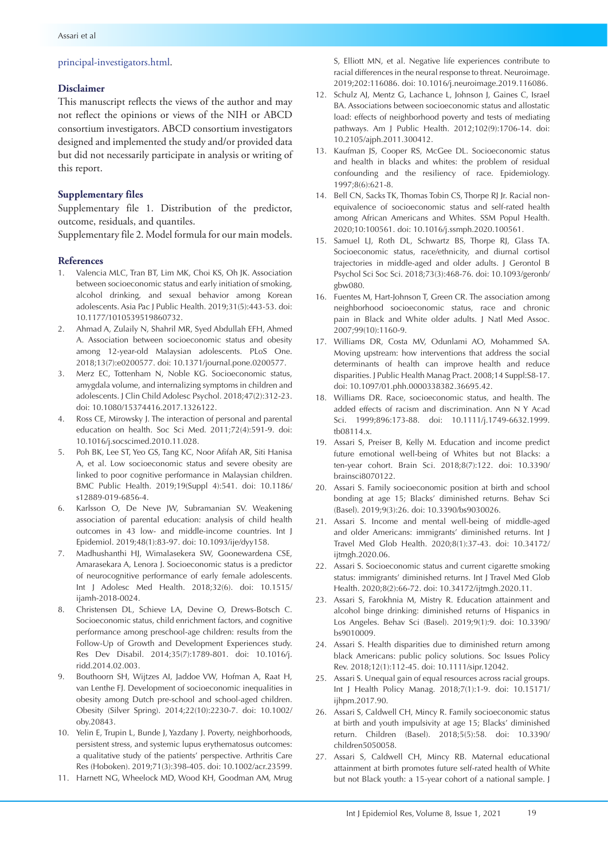# [principal-investigators.html](https://abcdstudy.org/principal-investigators.html).

#### **Disclaimer**

This manuscript reflects the views of the author and may not reflect the opinions or views of the NIH or ABCD consortium investigators. ABCD consortium investigators designed and implemented the study and/or provided data but did not necessarily participate in analysis or writing of this report.

## **Supplementary files**

Supplementary file 1. Distribution of the predictor, outcome, residuals, and quantiles.

Supplementary file 2. Model formula for our main models.

#### **References**

- 1. Valencia MLC, Tran BT, Lim MK, Choi KS, Oh JK. Association between socioeconomic status and early initiation of smoking, alcohol drinking, and sexual behavior among Korean adolescents. Asia Pac J Public Health. 2019;31(5):443-53. doi: 10.1177/1010539519860732.
- 2. Ahmad A, Zulaily N, Shahril MR, Syed Abdullah EFH, Ahmed A. Association between socioeconomic status and obesity among 12-year-old Malaysian adolescents. PLoS One. 2018;13(7):e0200577. doi: 10.1371/journal.pone.0200577.
- 3. Merz EC, Tottenham N, Noble KG. Socioeconomic status, amygdala volume, and internalizing symptoms in children and adolescents. J Clin Child Adolesc Psychol. 2018;47(2):312-23. doi: 10.1080/15374416.2017.1326122.
- 4. Ross CE, Mirowsky J. The interaction of personal and parental education on health. Soc Sci Med. 2011;72(4):591-9. doi: 10.1016/j.socscimed.2010.11.028.
- 5. Poh BK, Lee ST, Yeo GS, Tang KC, Noor Afifah AR, Siti Hanisa A, et al. Low socioeconomic status and severe obesity are linked to poor cognitive performance in Malaysian children. BMC Public Health. 2019;19(Suppl 4):541. doi: 10.1186/ s12889-019-6856-4.
- 6. Karlsson O, De Neve JW, Subramanian SV. Weakening association of parental education: analysis of child health outcomes in 43 low- and middle-income countries. Int J Epidemiol. 2019;48(1):83-97. doi: 10.1093/ije/dyy158.
- 7. Madhushanthi HJ, Wimalasekera SW, Goonewardena CSE, Amarasekara A, Lenora J. Socioeconomic status is a predictor of neurocognitive performance of early female adolescents. Int J Adolesc Med Health. 2018;32(6). doi: 10.1515/ ijamh-2018-0024.
- 8. Christensen DL, Schieve LA, Devine O, Drews-Botsch C. Socioeconomic status, child enrichment factors, and cognitive performance among preschool-age children: results from the Follow-Up of Growth and Development Experiences study. Res Dev Disabil. 2014;35(7):1789-801. doi: 10.1016/j. ridd.2014.02.003.
- 9. Bouthoorn SH, Wijtzes AI, Jaddoe VW, Hofman A, Raat H, van Lenthe FJ. Development of socioeconomic inequalities in obesity among Dutch pre-school and school-aged children. Obesity (Silver Spring). 2014;22(10):2230-7. doi: 10.1002/ oby.20843.
- 10. Yelin E, Trupin L, Bunde J, Yazdany J. Poverty, neighborhoods, persistent stress, and systemic lupus erythematosus outcomes: a qualitative study of the patients' perspective. Arthritis Care Res (Hoboken). 2019;71(3):398-405. doi: 10.1002/acr.23599.
- 11. Harnett NG, Wheelock MD, Wood KH, Goodman AM, Mrug

S, Elliott MN, et al. Negative life experiences contribute to racial differences in the neural response to threat. Neuroimage. 2019;202:116086. doi: 10.1016/j.neuroimage.2019.116086.

- 12. Schulz AJ, Mentz G, Lachance L, Johnson J, Gaines C, Israel BA. Associations between socioeconomic status and allostatic load: effects of neighborhood poverty and tests of mediating pathways. Am J Public Health. 2012;102(9):1706-14. doi: 10.2105/ajph.2011.300412.
- 13. Kaufman JS, Cooper RS, McGee DL. Socioeconomic status and health in blacks and whites: the problem of residual confounding and the resiliency of race. Epidemiology. 1997;8(6):621-8.
- 14. Bell CN, Sacks TK, Thomas Tobin CS, Thorpe RJ Jr. Racial nonequivalence of socioeconomic status and self-rated health among African Americans and Whites. SSM Popul Health. 2020;10:100561. doi: 10.1016/j.ssmph.2020.100561.
- 15. Samuel LJ, Roth DL, Schwartz BS, Thorpe RJ, Glass TA. Socioeconomic status, race/ethnicity, and diurnal cortisol trajectories in middle-aged and older adults. J Gerontol B Psychol Sci Soc Sci. 2018;73(3):468-76. doi: 10.1093/geronb/ gbw080.
- 16. Fuentes M, Hart-Johnson T, Green CR. The association among neighborhood socioeconomic status, race and chronic pain in Black and White older adults. J Natl Med Assoc. 2007;99(10):1160-9.
- 17. Williams DR, Costa MV, Odunlami AO, Mohammed SA. Moving upstream: how interventions that address the social determinants of health can improve health and reduce disparities. J Public Health Manag Pract. 2008;14 Suppl:S8-17. doi: 10.1097/01.phh.0000338382.36695.42.
- 18. Williams DR. Race, socioeconomic status, and health. The added effects of racism and discrimination. Ann N Y Acad Sci. 1999;896:173-88. doi: 10.1111/j.1749-6632.1999. tb08114.x.
- 19. Assari S, Preiser B, Kelly M. Education and income predict future emotional well-being of Whites but not Blacks: a ten-year cohort. Brain Sci. 2018;8(7):122. doi: 10.3390/ brainsci8070122.
- 20. Assari S. Family socioeconomic position at birth and school bonding at age 15; Blacks' diminished returns. Behav Sci (Basel). 2019;9(3):26. doi: 10.3390/bs9030026.
- 21. Assari S. Income and mental well-being of middle-aged and older Americans: immigrants' diminished returns. Int J Travel Med Glob Health. 2020;8(1):37-43. doi: 10.34172/ ijtmgh.2020.06.
- 22. Assari S. Socioeconomic status and current cigarette smoking status: immigrants' diminished returns. Int J Travel Med Glob Health. 2020;8(2):66-72. doi: 10.34172/ijtmgh.2020.11.
- 23. Assari S, Farokhnia M, Mistry R. Education attainment and alcohol binge drinking: diminished returns of Hispanics in Los Angeles. Behav Sci (Basel). 2019;9(1):9. doi: 10.3390/ bs9010009.
- 24. Assari S. Health disparities due to diminished return among black Americans: public policy solutions. Soc Issues Policy Rev. 2018;12(1):112-45. doi: 10.1111/sipr.12042.
- 25. Assari S. Unequal gain of equal resources across racial groups. Int J Health Policy Manag. 2018;7(1):1-9. doi: 10.15171/ ijhpm.2017.90.
- 26. Assari S, Caldwell CH, Mincy R. Family socioeconomic status at birth and youth impulsivity at age 15; Blacks' diminished return. Children (Basel). 2018;5(5):58. doi: 10.3390/ children5050058.
- 27. Assari S, Caldwell CH, Mincy RB. Maternal educational attainment at birth promotes future self-rated health of White but not Black youth: a 15-year cohort of a national sample. J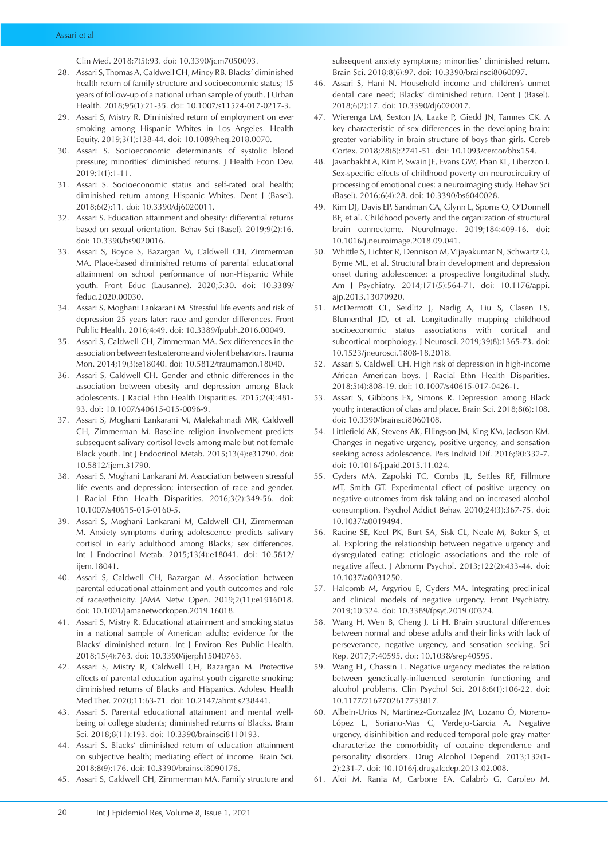Clin Med. 2018;7(5):93. doi: 10.3390/jcm7050093.

- 28. Assari S, Thomas A, Caldwell CH, Mincy RB. Blacks' diminished health return of family structure and socioeconomic status; 15 years of follow-up of a national urban sample of youth. J Urban Health. 2018;95(1):21-35. doi: 10.1007/s11524-017-0217-3.
- 29. Assari S, Mistry R. Diminished return of employment on ever smoking among Hispanic Whites in Los Angeles. Health Equity. 2019;3(1):138-44. doi: 10.1089/heq.2018.0070.
- 30. Assari S. Socioeconomic determinants of systolic blood pressure; minorities' diminished returns. J Health Econ Dev. 2019;1(1):1-11.
- 31. Assari S. Socioeconomic status and self-rated oral health; diminished return among Hispanic Whites. Dent J (Basel). 2018;6(2):11. doi: 10.3390/dj6020011.
- 32. Assari S. Education attainment and obesity: differential returns based on sexual orientation. Behav Sci (Basel). 2019;9(2):16. doi: 10.3390/bs9020016.
- 33. Assari S, Boyce S, Bazargan M, Caldwell CH, Zimmerman MA. Place-based diminished returns of parental educational attainment on school performance of non-Hispanic White youth. Front Educ (Lausanne). 2020;5:30. doi: 10.3389/ feduc.2020.00030.
- 34. Assari S, Moghani Lankarani M. Stressful life events and risk of depression 25 years later: race and gender differences. Front Public Health. 2016;4:49. doi: 10.3389/fpubh.2016.00049.
- 35. Assari S, Caldwell CH, Zimmerman MA. Sex differences in the association between testosterone and violent behaviors. Trauma Mon. 2014;19(3):e18040. doi: 10.5812/traumamon.18040.
- 36. Assari S, Caldwell CH. Gender and ethnic differences in the association between obesity and depression among Black adolescents. J Racial Ethn Health Disparities. 2015;2(4):481- 93. doi: 10.1007/s40615-015-0096-9.
- 37. Assari S, Moghani Lankarani M, Malekahmadi MR, Caldwell CH, Zimmerman M. Baseline religion involvement predicts subsequent salivary cortisol levels among male but not female Black youth. Int J Endocrinol Metab. 2015;13(4):e31790. doi: 10.5812/ijem.31790.
- 38. Assari S, Moghani Lankarani M. Association between stressful life events and depression; intersection of race and gender. J Racial Ethn Health Disparities. 2016;3(2):349-56. doi: 10.1007/s40615-015-0160-5.
- 39. Assari S, Moghani Lankarani M, Caldwell CH, Zimmerman M. Anxiety symptoms during adolescence predicts salivary cortisol in early adulthood among Blacks; sex differences. Int J Endocrinol Metab. 2015;13(4):e18041. doi: 10.5812/ ijem.18041.
- 40. Assari S, Caldwell CH, Bazargan M. Association between parental educational attainment and youth outcomes and role of race/ethnicity. JAMA Netw Open. 2019;2(11):e1916018. doi: 10.1001/jamanetworkopen.2019.16018.
- 41. Assari S, Mistry R. Educational attainment and smoking status in a national sample of American adults; evidence for the Blacks' diminished return. Int J Environ Res Public Health. 2018;15(4):763. doi: 10.3390/ijerph15040763.
- 42. Assari S, Mistry R, Caldwell CH, Bazargan M. Protective effects of parental education against youth cigarette smoking: diminished returns of Blacks and Hispanics. Adolesc Health Med Ther. 2020;11:63-71. doi: 10.2147/ahmt.s238441.
- 43. Assari S. Parental educational attainment and mental wellbeing of college students; diminished returns of Blacks. Brain Sci. 2018;8(11):193. doi: 10.3390/brainsci8110193.
- 44. Assari S. Blacks' diminished return of education attainment on subjective health; mediating effect of income. Brain Sci. 2018;8(9):176. doi: 10.3390/brainsci8090176.
- 45. Assari S, Caldwell CH, Zimmerman MA. Family structure and

subsequent anxiety symptoms; minorities' diminished return. Brain Sci. 2018;8(6):97. doi: 10.3390/brainsci8060097.

- 46. Assari S, Hani N. Household income and children's unmet dental care need; Blacks' diminished return. Dent J (Basel). 2018;6(2):17. doi: 10.3390/dj6020017.
- 47. Wierenga LM, Sexton JA, Laake P, Giedd JN, Tamnes CK. A key characteristic of sex differences in the developing brain: greater variability in brain structure of boys than girls. Cereb Cortex. 2018;28(8):2741-51. doi: 10.1093/cercor/bhx154.
- 48. Javanbakht A, Kim P, Swain JE, Evans GW, Phan KL, Liberzon I. Sex-specific effects of childhood poverty on neurocircuitry of processing of emotional cues: a neuroimaging study. Behav Sci (Basel). 2016;6(4):28. doi: 10.3390/bs6040028.
- 49. Kim DJ, Davis EP, Sandman CA, Glynn L, Sporns O, O'Donnell BF, et al. Childhood poverty and the organization of structural brain connectome. NeuroImage. 2019;184:409-16. doi: 10.1016/j.neuroimage.2018.09.041.
- 50. Whittle S, Lichter R, Dennison M, Vijayakumar N, Schwartz O, Byrne ML, et al. Structural brain development and depression onset during adolescence: a prospective longitudinal study. Am J Psychiatry. 2014;171(5):564-71. doi: 10.1176/appi. ajp.2013.13070920.
- 51. McDermott CL, Seidlitz J, Nadig A, Liu S, Clasen LS, Blumenthal JD, et al. Longitudinally mapping childhood socioeconomic status associations with cortical and subcortical morphology. J Neurosci. 2019;39(8):1365-73. doi: 10.1523/jneurosci.1808-18.2018.
- 52. Assari S, Caldwell CH. High risk of depression in high-income African American boys. J Racial Ethn Health Disparities. 2018;5(4):808-19. doi: 10.1007/s40615-017-0426-1.
- 53. Assari S, Gibbons FX, Simons R. Depression among Black youth; interaction of class and place. Brain Sci. 2018;8(6):108. doi: 10.3390/brainsci8060108.
- 54. Littlefield AK, Stevens AK, Ellingson JM, King KM, Jackson KM. Changes in negative urgency, positive urgency, and sensation seeking across adolescence. Pers Individ Dif. 2016;90:332-7. doi: 10.1016/j.paid.2015.11.024.
- 55. Cyders MA, Zapolski TC, Combs JL, Settles RF, Fillmore MT, Smith GT. Experimental effect of positive urgency on negative outcomes from risk taking and on increased alcohol consumption. Psychol Addict Behav. 2010;24(3):367-75. doi: 10.1037/a0019494.
- 56. Racine SE, Keel PK, Burt SA, Sisk CL, Neale M, Boker S, et al. Exploring the relationship between negative urgency and dysregulated eating: etiologic associations and the role of negative affect. J Abnorm Psychol. 2013;122(2):433-44. doi: 10.1037/a0031250.
- 57. Halcomb M, Argyriou E, Cyders MA. Integrating preclinical and clinical models of negative urgency. Front Psychiatry. 2019;10:324. doi: 10.3389/fpsyt.2019.00324.
- 58. Wang H, Wen B, Cheng J, Li H. Brain structural differences between normal and obese adults and their links with lack of perseverance, negative urgency, and sensation seeking. Sci Rep. 2017;7:40595. doi: 10.1038/srep40595.
- 59. Wang FL, Chassin L. Negative urgency mediates the relation between genetically-influenced serotonin functioning and alcohol problems. Clin Psychol Sci. 2018;6(1):106-22. doi: 10.1177/2167702617733817.
- 60. Albein-Urios N, Martinez-Gonzalez JM, Lozano Ó, Moreno-López L, Soriano-Mas C, Verdejo-Garcia A. Negative urgency, disinhibition and reduced temporal pole gray matter characterize the comorbidity of cocaine dependence and personality disorders. Drug Alcohol Depend. 2013;132(1- 2):231-7. doi: 10.1016/j.drugalcdep.2013.02.008.
- 61. Aloi M, Rania M, Carbone EA, Calabrò G, Caroleo M,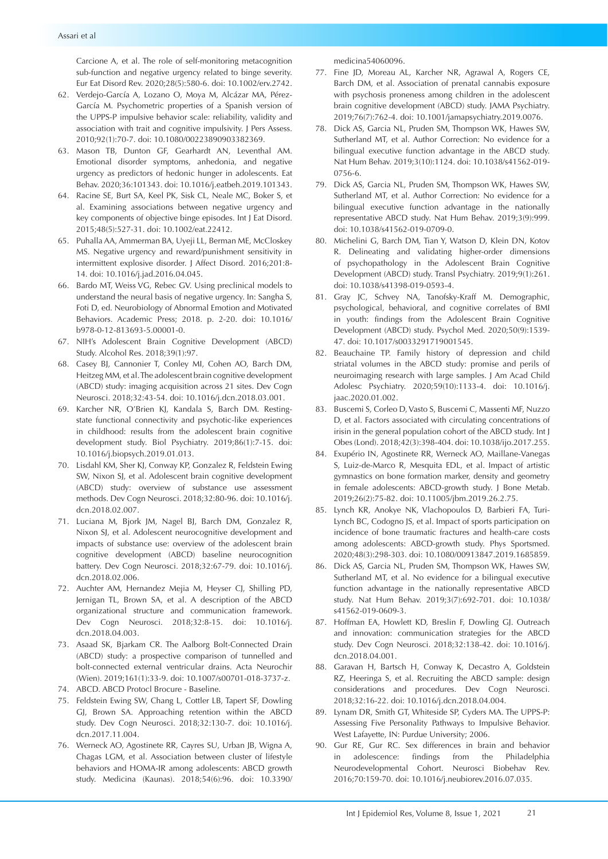Carcione A, et al. The role of self-monitoring metacognition sub-function and negative urgency related to binge severity. Eur Eat Disord Rev. 2020;28(5):580-6. doi: 10.1002/erv.2742.

- 62. Verdejo-García A, Lozano O, Moya M, Alcázar MA, Pérez-García M. Psychometric properties of a Spanish version of the UPPS-P impulsive behavior scale: reliability, validity and association with trait and cognitive impulsivity. J Pers Assess. 2010;92(1):70-7. doi: 10.1080/00223890903382369.
- 63. Mason TB, Dunton GF, Gearhardt AN, Leventhal AM. Emotional disorder symptoms, anhedonia, and negative urgency as predictors of hedonic hunger in adolescents. Eat Behav. 2020;36:101343. doi: 10.1016/j.eatbeh.2019.101343.
- 64. Racine SE, Burt SA, Keel PK, Sisk CL, Neale MC, Boker S, et al. Examining associations between negative urgency and key components of objective binge episodes. Int J Eat Disord. 2015;48(5):527-31. doi: 10.1002/eat.22412.
- 65. Puhalla AA, Ammerman BA, Uyeji LL, Berman ME, McCloskey MS. Negative urgency and reward/punishment sensitivity in intermittent explosive disorder. J Affect Disord. 2016;201:8- 14. doi: 10.1016/j.jad.2016.04.045.
- 66. Bardo MT, Weiss VG, Rebec GV. Using preclinical models to understand the neural basis of negative urgency. In: Sangha S, Foti D, ed. Neurobiology of Abnormal Emotion and Motivated Behaviors. Academic Press; 2018. p. 2-20. doi: 10.1016/ b978-0-12-813693-5.00001-0.
- 67. NIH's Adolescent Brain Cognitive Development (ABCD) Study. Alcohol Res. 2018;39(1):97.
- 68. Casey BJ, Cannonier T, Conley MI, Cohen AO, Barch DM, Heitzeg MM, et al. The adolescent brain cognitive development (ABCD) study: imaging acquisition across 21 sites. Dev Cogn Neurosci. 2018;32:43-54. doi: 10.1016/j.dcn.2018.03.001.
- 69. Karcher NR, O'Brien KJ, Kandala S, Barch DM. Restingstate functional connectivity and psychotic-like experiences in childhood: results from the adolescent brain cognitive development study. Biol Psychiatry. 2019;86(1):7-15. doi: 10.1016/j.biopsych.2019.01.013.
- 70. Lisdahl KM, Sher KJ, Conway KP, Gonzalez R, Feldstein Ewing SW, Nixon SJ, et al. Adolescent brain cognitive development (ABCD) study: overview of substance use assessment methods. Dev Cogn Neurosci. 2018;32:80-96. doi: 10.1016/j. dcn.2018.02.007.
- 71. Luciana M, Bjork JM, Nagel BJ, Barch DM, Gonzalez R, Nixon SJ, et al. Adolescent neurocognitive development and impacts of substance use: overview of the adolescent brain cognitive development (ABCD) baseline neurocognition battery. Dev Cogn Neurosci. 2018;32:67-79. doi: 10.1016/j. dcn.2018.02.006.
- 72. Auchter AM, Hernandez Mejia M, Heyser CJ, Shilling PD, Jernigan TL, Brown SA, et al. A description of the ABCD organizational structure and communication framework. Dev Cogn Neurosci. 2018;32:8-15. doi: 10.1016/j. dcn.2018.04.003.
- 73. Asaad SK, Bjarkam CR. The Aalborg Bolt-Connected Drain (ABCD) study: a prospective comparison of tunnelled and bolt-connected external ventricular drains. Acta Neurochir (Wien). 2019;161(1):33-9. doi: 10.1007/s00701-018-3737-z.
- 74. ABCD. ABCD Protocl Brocure Baseline.
- 75. Feldstein Ewing SW, Chang L, Cottler LB, Tapert SF, Dowling GJ, Brown SA. Approaching retention within the ABCD study. Dev Cogn Neurosci. 2018;32:130-7. doi: 10.1016/j. dcn.2017.11.004.
- 76. Werneck AO, Agostinete RR, Cayres SU, Urban JB, Wigna A, Chagas LGM, et al. Association between cluster of lifestyle behaviors and HOMA-IR among adolescents: ABCD growth study. Medicina (Kaunas). 2018;54(6):96. doi: 10.3390/

medicina54060096.

- 77. Fine JD, Moreau AL, Karcher NR, Agrawal A, Rogers CE, Barch DM, et al. Association of prenatal cannabis exposure with psychosis proneness among children in the adolescent brain cognitive development (ABCD) study. JAMA Psychiatry. 2019;76(7):762-4. doi: 10.1001/jamapsychiatry.2019.0076.
- 78. Dick AS, Garcia NL, Pruden SM, Thompson WK, Hawes SW, Sutherland MT, et al. Author Correction: No evidence for a bilingual executive function advantage in the ABCD study. Nat Hum Behav. 2019;3(10):1124. doi: 10.1038/s41562-019- 0756-6.
- 79. Dick AS, Garcia NL, Pruden SM, Thompson WK, Hawes SW, Sutherland MT, et al. Author Correction: No evidence for a bilingual executive function advantage in the nationally representative ABCD study. Nat Hum Behav. 2019;3(9):999. doi: 10.1038/s41562-019-0709-0.
- 80. Michelini G, Barch DM, Tian Y, Watson D, Klein DN, Kotov R. Delineating and validating higher-order dimensions of psychopathology in the Adolescent Brain Cognitive Development (ABCD) study. Transl Psychiatry. 2019;9(1):261. doi: 10.1038/s41398-019-0593-4.
- 81. Gray JC, Schvey NA, Tanofsky-Kraff M. Demographic, psychological, behavioral, and cognitive correlates of BMI in youth: findings from the Adolescent Brain Cognitive Development (ABCD) study. Psychol Med. 2020;50(9):1539- 47. doi: 10.1017/s0033291719001545.
- 82. Beauchaine TP. Family history of depression and child striatal volumes in the ABCD study: promise and perils of neuroimaging research with large samples. J Am Acad Child Adolesc Psychiatry. 2020;59(10):1133-4. doi: 10.1016/j. jaac.2020.01.002.
- 83. Buscemi S, Corleo D, Vasto S, Buscemi C, Massenti MF, Nuzzo D, et al. Factors associated with circulating concentrations of irisin in the general population cohort of the ABCD study. Int J Obes (Lond). 2018;42(3):398-404. doi: 10.1038/ijo.2017.255.
- 84. Exupério IN, Agostinete RR, Werneck AO, Maillane-Vanegas S, Luiz-de-Marco R, Mesquita EDL, et al. Impact of artistic gymnastics on bone formation marker, density and geometry in female adolescents: ABCD-growth study. J Bone Metab. 2019;26(2):75-82. doi: 10.11005/jbm.2019.26.2.75.
- 85. Lynch KR, Anokye NK, Vlachopoulos D, Barbieri FA, Turi-Lynch BC, Codogno JS, et al. Impact of sports participation on incidence of bone traumatic fractures and health-care costs among adolescents: ABCD-growth study. Phys Sportsmed. 2020;48(3):298-303. doi: 10.1080/00913847.2019.1685859.
- 86. Dick AS, Garcia NL, Pruden SM, Thompson WK, Hawes SW, Sutherland MT, et al. No evidence for a bilingual executive function advantage in the nationally representative ABCD study. Nat Hum Behav. 2019;3(7):692-701. doi: 10.1038/ s41562-019-0609-3.
- 87. Hoffman EA, Howlett KD, Breslin F, Dowling GJ. Outreach and innovation: communication strategies for the ABCD study. Dev Cogn Neurosci. 2018;32:138-42. doi: 10.1016/j. dcn.2018.04.001.
- 88. Garavan H, Bartsch H, Conway K, Decastro A, Goldstein RZ, Heeringa S, et al. Recruiting the ABCD sample: design considerations and procedures. Dev Cogn Neurosci. 2018;32:16-22. doi: 10.1016/j.dcn.2018.04.004.
- 89. Lynam DR, Smith GT, Whiteside SP, Cyders MA. The UPPS-P: Assessing Five Personality Pathways to Impulsive Behavior. West Lafayette, IN: Purdue University; 2006.
- 90. Gur RE, Gur RC. Sex differences in brain and behavior in adolescence: findings from the Philadelphia Neurodevelopmental Cohort. Neurosci Biobehav Rev. 2016;70:159-70. doi: 10.1016/j.neubiorev.2016.07.035.